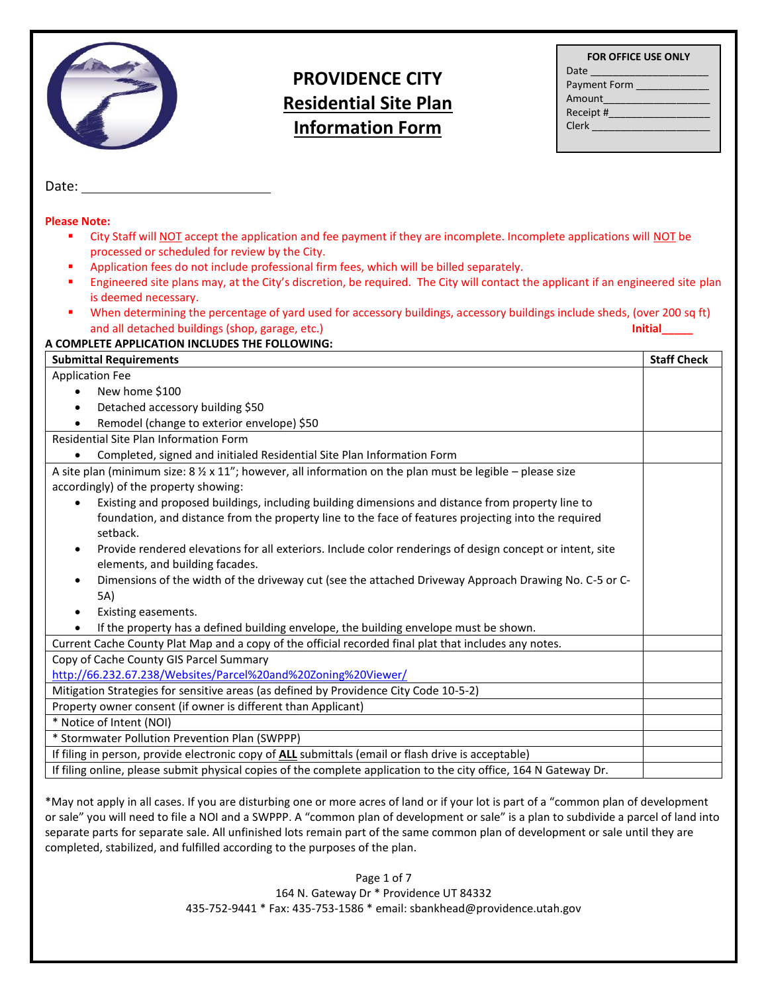

# **PROVIDENCE CITY Residential Site Plan Information Form**

**FOR OFFICE USE ONLY** Date Payment Form \_ Amount\_\_\_\_\_\_\_\_\_\_\_\_\_\_\_\_\_\_\_ Receipt #\_\_\_\_\_\_\_\_\_\_\_\_\_\_\_\_\_\_ Clerk \_\_\_\_\_\_\_\_\_\_\_\_\_\_\_\_\_\_\_\_\_

Date:

#### **Please Note:**

- City Staff will NOT accept the application and fee payment if they are incomplete. Incomplete applications will NOT be processed or scheduled for review by the City.
- Application fees do not include professional firm fees, which will be billed separately.
- Engineered site plans may, at the City's discretion, be required. The City will contact the applicant if an engineered site plan is deemed necessary.
- When determining the percentage of yard used for accessory buildings, accessory buildings include sheds, (over 200 sq ft) and all detached buildings (shop, garage, etc.) **Initial\_\_\_\_\_**

## **A COMPLETE APPLICATION INCLUDES THE FOLLOWING:**

| <b>Submittal Requirements</b>                                                                                                                | <b>Staff Check</b> |
|----------------------------------------------------------------------------------------------------------------------------------------------|--------------------|
| <b>Application Fee</b>                                                                                                                       |                    |
| New home \$100                                                                                                                               |                    |
| Detached accessory building \$50                                                                                                             |                    |
| Remodel (change to exterior envelope) \$50                                                                                                   |                    |
| Residential Site Plan Information Form                                                                                                       |                    |
| Completed, signed and initialed Residential Site Plan Information Form                                                                       |                    |
| A site plan (minimum size: $8\frac{1}{2} \times 11$ "; however, all information on the plan must be legible – please size                    |                    |
| accordingly) of the property showing:                                                                                                        |                    |
| Existing and proposed buildings, including building dimensions and distance from property line to                                            |                    |
| foundation, and distance from the property line to the face of features projecting into the required                                         |                    |
| setback.                                                                                                                                     |                    |
| Provide rendered elevations for all exteriors. Include color renderings of design concept or intent, site<br>elements, and building facades. |                    |
| Dimensions of the width of the driveway cut (see the attached Driveway Approach Drawing No. C-5 or C-                                        |                    |
| 5A)                                                                                                                                          |                    |
| Existing easements.                                                                                                                          |                    |
| If the property has a defined building envelope, the building envelope must be shown.                                                        |                    |
| Current Cache County Plat Map and a copy of the official recorded final plat that includes any notes.                                        |                    |
| Copy of Cache County GIS Parcel Summary                                                                                                      |                    |
| http://66.232.67.238/Websites/Parcel%20and%20Zoning%20Viewer/                                                                                |                    |
| Mitigation Strategies for sensitive areas (as defined by Providence City Code 10-5-2)                                                        |                    |
| Property owner consent (if owner is different than Applicant)                                                                                |                    |
| * Notice of Intent (NOI)                                                                                                                     |                    |
| * Stormwater Pollution Prevention Plan (SWPPP)                                                                                               |                    |
| If filing in person, provide electronic copy of ALL submittals (email or flash drive is acceptable)                                          |                    |
| If filing online, please submit physical copies of the complete application to the city office, 164 N Gateway Dr.                            |                    |

\*May not apply in all cases. If you are disturbing one or more acres of land or if your lot is part of a "common plan of development or sale" you will need to file a NOI and a SWPPP. A "common plan of development or sale" is a plan to subdivide a parcel of land into separate parts for separate sale. All unfinished lots remain part of the same common plan of development or sale until they are completed, stabilized, and fulfilled according to the purposes of the plan.

Page 1 of 7

164 N. Gateway Dr \* Providence UT 84332 435-752-9441 \* Fax: 435-753-1586 \* email: sbankhead@providence.utah.gov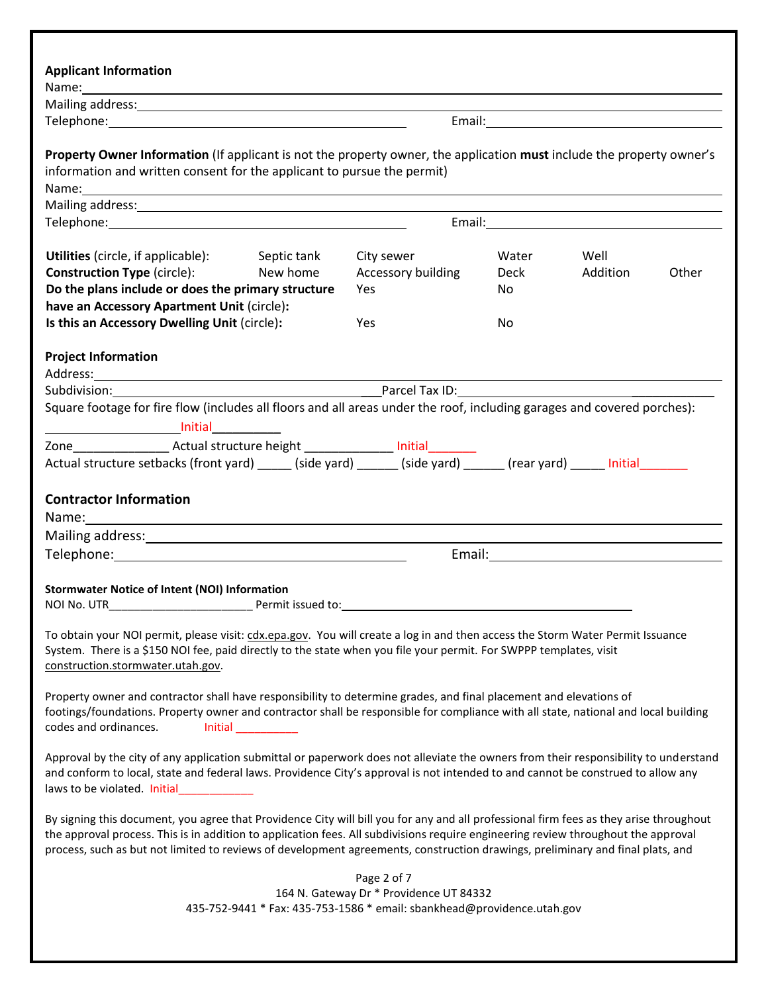| <b>Applicant Information</b>                                                                                                                                                                                                                                                                                                                                                                                                       |                                         |             |                                                                                                                 |       |  |
|------------------------------------------------------------------------------------------------------------------------------------------------------------------------------------------------------------------------------------------------------------------------------------------------------------------------------------------------------------------------------------------------------------------------------------|-----------------------------------------|-------------|-----------------------------------------------------------------------------------------------------------------|-------|--|
| Name: and the contract of the contract of the contract of the contract of the contract of the contract of the contract of the contract of the contract of the contract of the contract of the contract of the contract of the                                                                                                                                                                                                      |                                         |             |                                                                                                                 |       |  |
|                                                                                                                                                                                                                                                                                                                                                                                                                                    |                                         |             |                                                                                                                 |       |  |
|                                                                                                                                                                                                                                                                                                                                                                                                                                    |                                         |             |                                                                                                                 |       |  |
| Property Owner Information (If applicant is not the property owner, the application must include the property owner's<br>information and written consent for the applicant to pursue the permit)<br>Name: Name: Name and Name and Name and Name and Name and Name and Name and Name and Name and Name and Name and Name and Name and Name and Name and Name and Name and Name and Name and Name and Name and Name and Name and Nam |                                         |             |                                                                                                                 |       |  |
| Mailing address: 1999 Mailing and the state of the state of the state of the state of the state of the state of the state of the state of the state of the state of the state of the state of the state of the state of the st                                                                                                                                                                                                     |                                         |             |                                                                                                                 |       |  |
|                                                                                                                                                                                                                                                                                                                                                                                                                                    |                                         |             |                                                                                                                 |       |  |
| Utilities (circle, if applicable):<br>Septic tank                                                                                                                                                                                                                                                                                                                                                                                  | City sewer                              | Water       | Well                                                                                                            |       |  |
| <b>Construction Type</b> (circle): New home                                                                                                                                                                                                                                                                                                                                                                                        | Accessory building                      | <b>Deck</b> | Addition                                                                                                        | Other |  |
| Do the plans include or does the primary structure                                                                                                                                                                                                                                                                                                                                                                                 | Yes                                     | No          |                                                                                                                 |       |  |
| have an Accessory Apartment Unit (circle):                                                                                                                                                                                                                                                                                                                                                                                         |                                         |             |                                                                                                                 |       |  |
| Is this an Accessory Dwelling Unit (circle):                                                                                                                                                                                                                                                                                                                                                                                       | Yes                                     | No          |                                                                                                                 |       |  |
|                                                                                                                                                                                                                                                                                                                                                                                                                                    |                                         |             |                                                                                                                 |       |  |
| <b>Project Information</b>                                                                                                                                                                                                                                                                                                                                                                                                         |                                         |             |                                                                                                                 |       |  |
| Subdivision: Parcel Tax ID: Parcel Tax ID: Parcel Tax ID: Parcel Tax ID: Parcel Tax ID: Parcel Tax ID: Parcel Tax ID: Parcel Tax ID: Parcel Tax ID: Parcel Tax ID: Parcel Tax ID: Parcel Tax ID: Parcel Tax ID: Parcel Tax ID:                                                                                                                                                                                                     |                                         |             |                                                                                                                 |       |  |
| Square footage for fire flow (includes all floors and all areas under the roof, including garages and covered porches):                                                                                                                                                                                                                                                                                                            |                                         |             |                                                                                                                 |       |  |
|                                                                                                                                                                                                                                                                                                                                                                                                                                    |                                         |             |                                                                                                                 |       |  |
|                                                                                                                                                                                                                                                                                                                                                                                                                                    |                                         |             |                                                                                                                 |       |  |
| Zone________________________Actual structure height _______________________Initial____________________________<br>Actual structure setbacks (front yard) ________ (side yard) ________ (side yard) _____________________________                                                                                                                                                                                                   |                                         |             |                                                                                                                 |       |  |
|                                                                                                                                                                                                                                                                                                                                                                                                                                    |                                         |             |                                                                                                                 |       |  |
| <b>Contractor Information</b>                                                                                                                                                                                                                                                                                                                                                                                                      |                                         |             |                                                                                                                 |       |  |
| Name: 1988 - 1988 - 1988 - 1988 - 1988 - 1988 - 1988 - 1988 - 1988 - 1988 - 1988 - 1988 - 1988 - 1988 - 1988 -                                                                                                                                                                                                                                                                                                                     |                                         |             |                                                                                                                 |       |  |
| Mailing address: National Assembly and Assembly and Assembly and Assembly and Assembly and Assembly and Assembly and Assembly and Assembly and Assembly and Assembly and Assembly and Assembly and Assembly and Assembly and A                                                                                                                                                                                                     |                                         |             |                                                                                                                 |       |  |
|                                                                                                                                                                                                                                                                                                                                                                                                                                    |                                         |             | Email: 2008. 2009. 2009. 2009. 2012. 2014. 2015. 2016. 2017. 2018. 2019. 2017. 2018. 2019. 2019. 2017. 2017. 20 |       |  |
|                                                                                                                                                                                                                                                                                                                                                                                                                                    |                                         |             |                                                                                                                 |       |  |
| <b>Stormwater Notice of Intent (NOI) Information</b><br>NOI No. UTR <b>Example 2018</b> Permit issued to: <b>CONFINGITY CONTRACT PERMIT AND RESIDENT</b> CONFIDENTIAL CONTRACT PERMIT                                                                                                                                                                                                                                              |                                         |             |                                                                                                                 |       |  |
| To obtain your NOI permit, please visit: cdx.epa.gov. You will create a log in and then access the Storm Water Permit Issuance<br>System. There is a \$150 NOI fee, paid directly to the state when you file your permit. For SWPPP templates, visit<br>construction.stormwater.utah.gov.                                                                                                                                          |                                         |             |                                                                                                                 |       |  |
| Property owner and contractor shall have responsibility to determine grades, and final placement and elevations of<br>footings/foundations. Property owner and contractor shall be responsible for compliance with all state, national and local building<br>codes and ordinances.                                                                                                                                                 |                                         |             |                                                                                                                 |       |  |
| Approval by the city of any application submittal or paperwork does not alleviate the owners from their responsibility to understand<br>and conform to local, state and federal laws. Providence City's approval is not intended to and cannot be construed to allow any<br>laws to be violated. Initial                                                                                                                           |                                         |             |                                                                                                                 |       |  |
| By signing this document, you agree that Providence City will bill you for any and all professional firm fees as they arise throughout<br>the approval process. This is in addition to application fees. All subdivisions require engineering review throughout the approval<br>process, such as but not limited to reviews of development agreements, construction drawings, preliminary and final plats, and                     |                                         |             |                                                                                                                 |       |  |
|                                                                                                                                                                                                                                                                                                                                                                                                                                    |                                         |             |                                                                                                                 |       |  |
|                                                                                                                                                                                                                                                                                                                                                                                                                                    |                                         |             |                                                                                                                 |       |  |
|                                                                                                                                                                                                                                                                                                                                                                                                                                    | Page 2 of 7                             |             |                                                                                                                 |       |  |
| 435-752-9441 * Fax: 435-753-1586 * email: sbankhead@providence.utah.gov                                                                                                                                                                                                                                                                                                                                                            | 164 N. Gateway Dr * Providence UT 84332 |             |                                                                                                                 |       |  |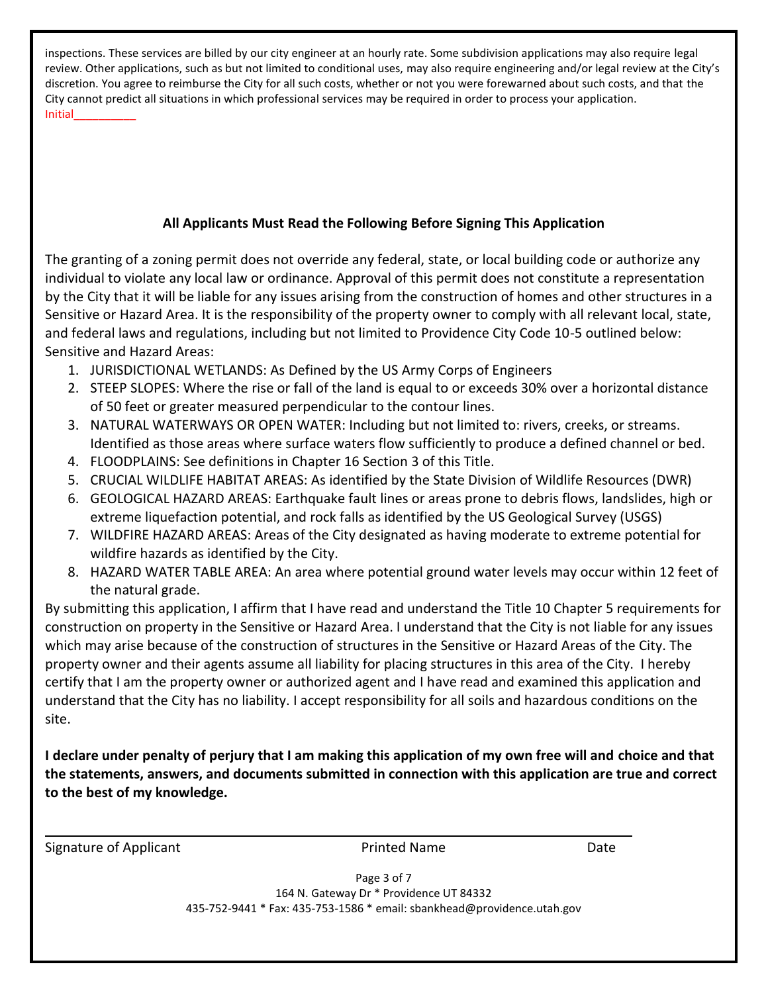inspections. These services are billed by our city engineer at an hourly rate. Some subdivision applications may also require legal review. Other applications, such as but not limited to conditional uses, may also require engineering and/or legal review at the City's discretion. You agree to reimburse the City for all such costs, whether or not you were forewarned about such costs, and that the City cannot predict all situations in which professional services may be required in order to process your application. Initial\_\_\_\_\_\_\_\_\_\_

## **All Applicants Must Read the Following Before Signing This Application**

The granting of a zoning permit does not override any federal, state, or local building code or authorize any individual to violate any local law or ordinance. Approval of this permit does not constitute a representation by the City that it will be liable for any issues arising from the construction of homes and other structures in a Sensitive or Hazard Area. It is the responsibility of the property owner to comply with all relevant local, state, and federal laws and regulations, including but not limited to Providence City Code 10-5 outlined below: Sensitive and Hazard Areas:

- 1. JURISDICTIONAL WETLANDS: As Defined by the US Army Corps of Engineers
- 2. STEEP SLOPES: Where the rise or fall of the land is equal to or exceeds 30% over a horizontal distance of 50 feet or greater measured perpendicular to the contour lines.
- 3. NATURAL WATERWAYS OR OPEN WATER: Including but not limited to: rivers, creeks, or streams. Identified as those areas where surface waters flow sufficiently to produce a defined channel or bed.
- 4. FLOODPLAINS: See definitions in Chapter 16 Section 3 of this Title.
- 5. CRUCIAL WILDLIFE HABITAT AREAS: As identified by the State Division of Wildlife Resources (DWR)
- 6. GEOLOGICAL HAZARD AREAS: Earthquake fault lines or areas prone to debris flows, landslides, high or extreme liquefaction potential, and rock falls as identified by the US Geological Survey (USGS)
- 7. WILDFIRE HAZARD AREAS: Areas of the City designated as having moderate to extreme potential for wildfire hazards as identified by the City.
- 8. HAZARD WATER TABLE AREA: An area where potential ground water levels may occur within 12 feet of the natural grade.

By submitting this application, I affirm that I have read and understand the Title 10 Chapter 5 requirements for construction on property in the Sensitive or Hazard Area. I understand that the City is not liable for any issues which may arise because of the construction of structures in the Sensitive or Hazard Areas of the City. The property owner and their agents assume all liability for placing structures in this area of the City. I hereby certify that I am the property owner or authorized agent and I have read and examined this application and understand that the City has no liability. I accept responsibility for all soils and hazardous conditions on the site.

**I declare under penalty of perjury that I am making this application of my own free will and choice and that the statements, answers, and documents submitted in connection with this application are true and correct to the best of my knowledge.**

Signature of Applicant **Printed Name** Printed Name

Page 3 of 7 164 N. Gateway Dr \* Providence UT 84332 435-752-9441 \* Fax: 435-753-1586 \* email: sbankhead@providence.utah.gov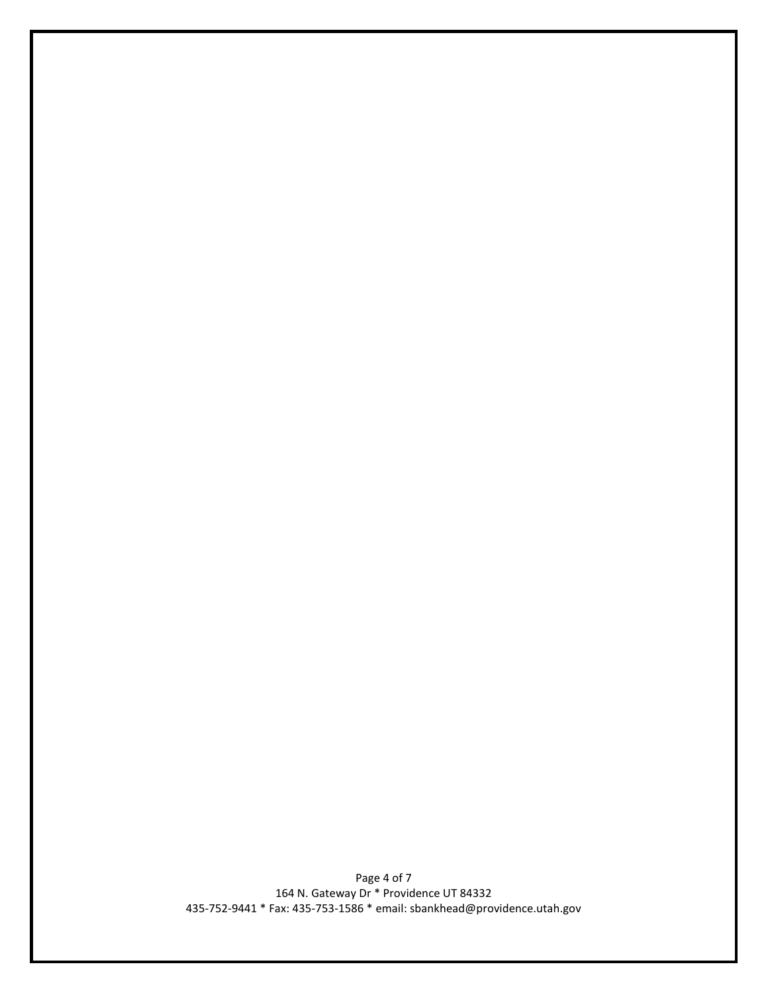Page 4 of 7 164 N. Gateway Dr \* Providence UT 84332 435-752-9441 \* Fax: 435-753-1586 \* email: sbankhead@providence.utah.gov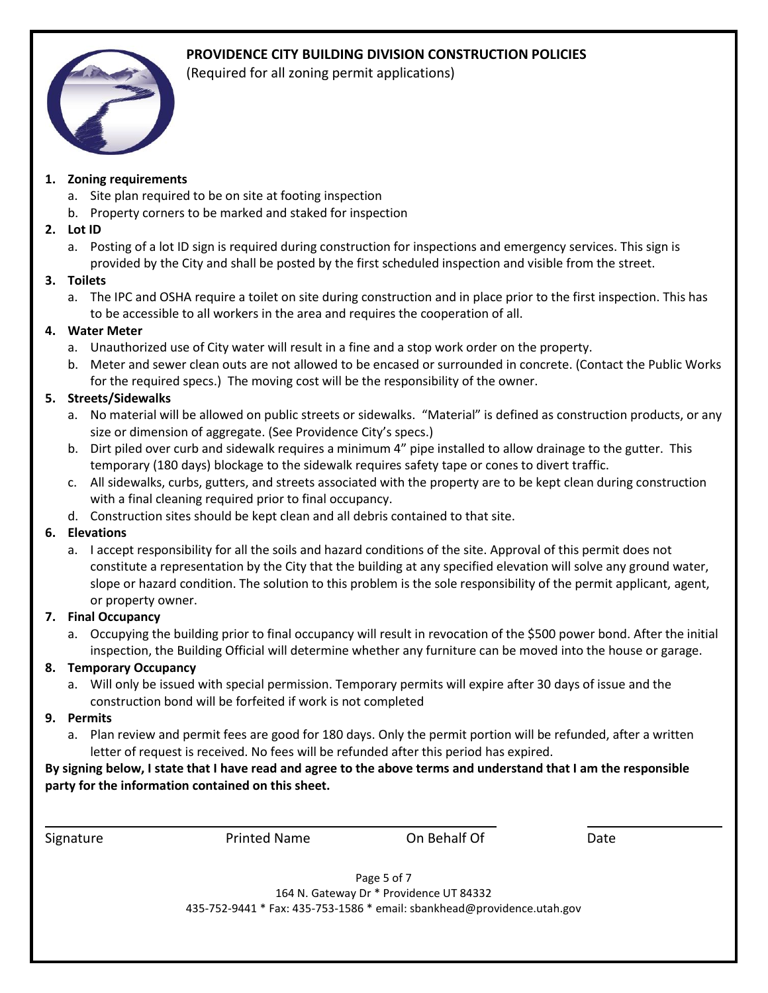## **PROVIDENCE CITY BUILDING DIVISION CONSTRUCTION POLICIES**



(Required for all zoning permit applications)

#### **1. Zoning requirements**

- a. Site plan required to be on site at footing inspection
- b. Property corners to be marked and staked for inspection

#### **2. Lot ID**

a. Posting of a lot ID sign is required during construction for inspections and emergency services. This sign is provided by the City and shall be posted by the first scheduled inspection and visible from the street.

#### **3. Toilets**

a. The IPC and OSHA require a toilet on site during construction and in place prior to the first inspection. This has to be accessible to all workers in the area and requires the cooperation of all.

#### **4. Water Meter**

- a. Unauthorized use of City water will result in a fine and a stop work order on the property.
- b. Meter and sewer clean outs are not allowed to be encased or surrounded in concrete. (Contact the Public Works for the required specs.) The moving cost will be the responsibility of the owner.

#### **5. Streets/Sidewalks**

- a. No material will be allowed on public streets or sidewalks. "Material" is defined as construction products, or any size or dimension of aggregate. (See Providence City's specs.)
- b. Dirt piled over curb and sidewalk requires a minimum 4" pipe installed to allow drainage to the gutter. This temporary (180 days) blockage to the sidewalk requires safety tape or cones to divert traffic.
- c. All sidewalks, curbs, gutters, and streets associated with the property are to be kept clean during construction with a final cleaning required prior to final occupancy.
- d. Construction sites should be kept clean and all debris contained to that site.

#### **6. Elevations**

a. I accept responsibility for all the soils and hazard conditions of the site. Approval of this permit does not constitute a representation by the City that the building at any specified elevation will solve any ground water, slope or hazard condition. The solution to this problem is the sole responsibility of the permit applicant, agent, or property owner.

#### **7. Final Occupancy**

a. Occupying the building prior to final occupancy will result in revocation of the \$500 power bond. After the initial inspection, the Building Official will determine whether any furniture can be moved into the house or garage.

#### **8. Temporary Occupancy**

a. Will only be issued with special permission. Temporary permits will expire after 30 days of issue and the construction bond will be forfeited if work is not completed

#### **9. Permits**

a. Plan review and permit fees are good for 180 days. Only the permit portion will be refunded, after a written letter of request is received. No fees will be refunded after this period has expired.

#### **By signing below, I state that I have read and agree to the above terms and understand that I am the responsible party for the information contained on this sheet.**

Signature **Printed Name** On Behalf Of Date

Page 5 of 7

164 N. Gateway Dr \* Providence UT 84332 435-752-9441 \* Fax: 435-753-1586 \* email: sbankhead@providence.utah.gov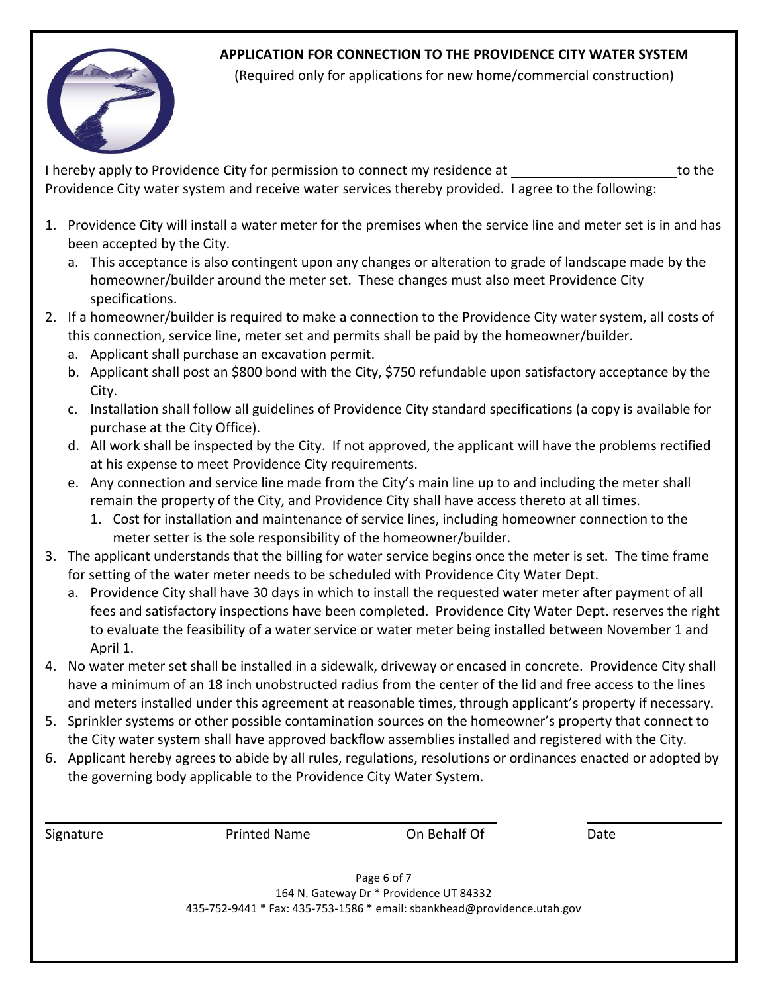## **APPLICATION FOR CONNECTION TO THE PROVIDENCE CITY WATER SYSTEM**



(Required only for applications for new home/commercial construction)

I hereby apply to Providence City for permission to connect my residence at \_\_\_\_\_\_\_\_\_\_\_\_\_\_\_\_\_\_\_\_\_\_\_\_to the Providence City water system and receive water services thereby provided. I agree to the following:

- 1. Providence City will install a water meter for the premises when the service line and meter set is in and has been accepted by the City.
	- a. This acceptance is also contingent upon any changes or alteration to grade of landscape made by the homeowner/builder around the meter set. These changes must also meet Providence City specifications.
- 2. If a homeowner/builder is required to make a connection to the Providence City water system, all costs of this connection, service line, meter set and permits shall be paid by the homeowner/builder.
	- a. Applicant shall purchase an excavation permit.
	- b. Applicant shall post an \$800 bond with the City, \$750 refundable upon satisfactory acceptance by the City.
	- c. Installation shall follow all guidelines of Providence City standard specifications (a copy is available for purchase at the City Office).
	- d. All work shall be inspected by the City. If not approved, the applicant will have the problems rectified at his expense to meet Providence City requirements.
	- e. Any connection and service line made from the City's main line up to and including the meter shall remain the property of the City, and Providence City shall have access thereto at all times.
		- 1. Cost for installation and maintenance of service lines, including homeowner connection to the meter setter is the sole responsibility of the homeowner/builder.
- 3. The applicant understands that the billing for water service begins once the meter is set. The time frame for setting of the water meter needs to be scheduled with Providence City Water Dept.
	- a. Providence City shall have 30 days in which to install the requested water meter after payment of all fees and satisfactory inspections have been completed. Providence City Water Dept. reserves the right to evaluate the feasibility of a water service or water meter being installed between November 1 and April 1.
- 4. No water meter set shall be installed in a sidewalk, driveway or encased in concrete. Providence City shall have a minimum of an 18 inch unobstructed radius from the center of the lid and free access to the lines and meters installed under this agreement at reasonable times, through applicant's property if necessary.
- 5. Sprinkler systems or other possible contamination sources on the homeowner's property that connect to the City water system shall have approved backflow assemblies installed and registered with the City.
- 6. Applicant hereby agrees to abide by all rules, regulations, resolutions or ordinances enacted or adopted by the governing body applicable to the Providence City Water System.

Signature **Printed Name** On Behalf Of Date

Page 6 of 7 164 N. Gateway Dr \* Providence UT 84332 435-752-9441 \* Fax: 435-753-1586 \* email: sbankhead@providence.utah.gov